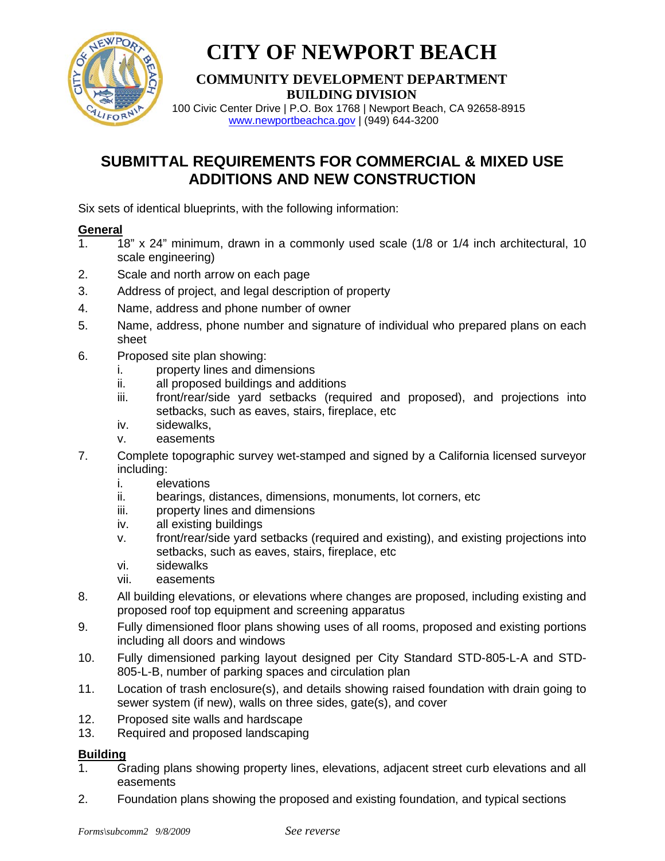

# **CITY OF NEWPORT BEACH**

#### **COMMUNITY DEVELOPMENT DEPARTMENT BUILDING DIVISION**

 100 Civic Center Drive | P.O. Box 1768 | Newport Beach, CA 92658-8915 [www.newportbeachca.gov](http://www.newportbeachca.gov/) | (949) 644-3200

### **SUBMITTAL REQUIREMENTS FOR COMMERCIAL & MIXED USE ADDITIONS AND NEW CONSTRUCTION**

Six sets of identical blueprints, with the following information:

### **General**

- 1. 18" x 24" minimum, drawn in a commonly used scale (1/8 or 1/4 inch architectural, 10 scale engineering)
- 2. Scale and north arrow on each page
- 3. Address of project, and legal description of property
- 4. Name, address and phone number of owner
- 5. Name, address, phone number and signature of individual who prepared plans on each sheet
- 6. Proposed site plan showing:
	- i. property lines and dimensions
	- ii. all proposed buildings and additions
	- iii. front/rear/side yard setbacks (required and proposed), and projections into setbacks, such as eaves, stairs, fireplace, etc
	- iv. sidewalks,
	- v. easements
- 7. Complete topographic survey wet-stamped and signed by a California licensed surveyor including:
	- i. elevations
	- ii. bearings, distances, dimensions, monuments, lot corners, etc
	- iii. property lines and dimensions
	- iv. all existing buildings
	- v. front/rear/side yard setbacks (required and existing), and existing projections into setbacks, such as eaves, stairs, fireplace, etc
	- vi. sidewalks
	- vii. easements
- 8. All building elevations, or elevations where changes are proposed, including existing and proposed roof top equipment and screening apparatus
- 9. Fully dimensioned floor plans showing uses of all rooms, proposed and existing portions including all doors and windows
- 10. Fully dimensioned parking layout designed per City Standard STD-805-L-A and STD-805-L-B, number of parking spaces and circulation plan
- 11. Location of trash enclosure(s), and details showing raised foundation with drain going to sewer system (if new), walls on three sides, gate(s), and cover
- 12. Proposed site walls and hardscape
- 13. Required and proposed landscaping

## **Building**<br>1.

- 1. Grading plans showing property lines, elevations, adjacent street curb elevations and all easements
- 2. Foundation plans showing the proposed and existing foundation, and typical sections